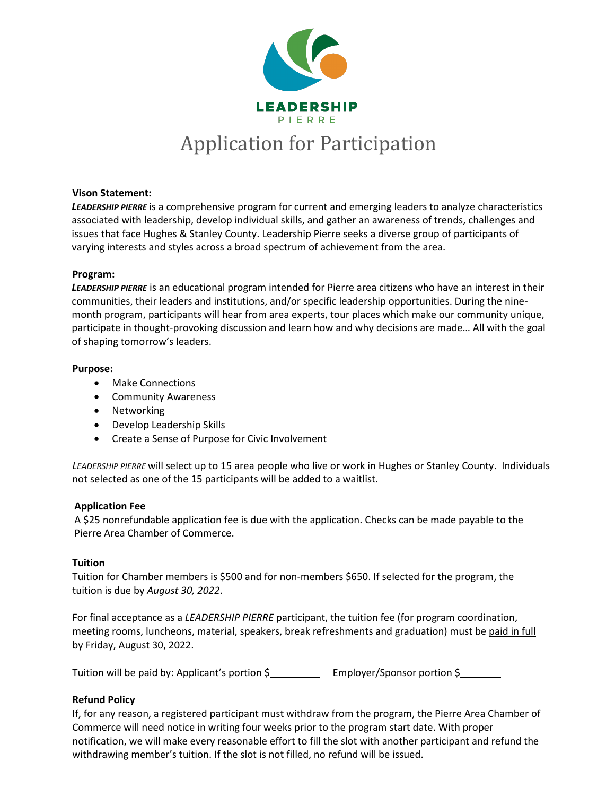

# **Vison Statement:**

*LEADERSHIP PIERRE* is a comprehensive program for current and emerging leaders to analyze characteristics associated with leadership, develop individual skills, and gather an awareness of trends, challenges and issues that face Hughes & Stanley County. Leadership Pierre seeks a diverse group of participants of varying interests and styles across a broad spectrum of achievement from the area.

# **Program:**

*LEADERSHIP PIERRE* is an educational program intended for Pierre area citizens who have an interest in their communities, their leaders and institutions, and/or specific leadership opportunities. During the ninemonth program, participants will hear from area experts, tour places which make our community unique, participate in thought-provoking discussion and learn how and why decisions are made… All with the goal of shaping tomorrow's leaders.

# **Purpose:**

- Make Connections
- Community Awareness
- Networking
- Develop Leadership Skills
- Create a Sense of Purpose for Civic Involvement

*LEADERSHIP PIERRE* will select up to 15 area people who live or work in Hughes or Stanley County. Individuals not selected as one of the 15 participants will be added to a waitlist.

# **Application Fee**

A \$25 nonrefundable application fee is due with the application. Checks can be made payable to the Pierre Area Chamber of Commerce.

# **Tuition**

Tuition for Chamber members is \$500 and for non-members \$650. If selected for the program, the tuition is due by *August 30, 2022*.

For final acceptance as a *LEADERSHIP PIERRE* participant, the tuition fee (for program coordination, meeting rooms, luncheons, material, speakers, break refreshments and graduation) must be paid in full by Friday, August 30, 2022.

Tuition will be paid by: Applicant's portion \$<br>Employer/Sponsor portion \$

# **Refund Policy**

If, for any reason, a registered participant must withdraw from the program, the Pierre Area Chamber of Commerce will need notice in writing four weeks prior to the program start date. With proper notification, we will make every reasonable effort to fill the slot with another participant and refund the withdrawing member's tuition. If the slot is not filled, no refund will be issued.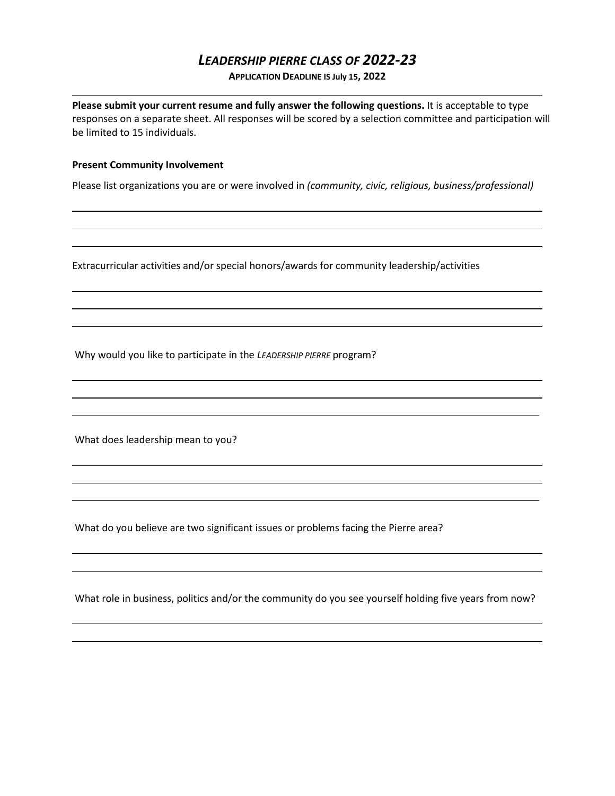# *LEADERSHIP PIERRE CLASS OF 2022-23*

**APPLICATION DEADLINE IS July 15, 2022**

**Please submit your current resume and fully answer the following questions.** It is acceptable to type responses on a separate sheet. All responses will be scored by a selection committee and participation will be limited to 15 individuals.

#### **Present Community Involvement**

Please list organizations you are or were involved in *(community, civic, religious, business/professional)*

Extracurricular activities and/or special honors/awards for community leadership/activities

Why would you like to participate in the *LEADERSHIP PIERRE* program?

What does leadership mean to you?

What do you believe are two significant issues or problems facing the Pierre area?

What role in business, politics and/or the community do you see yourself holding five years from now?